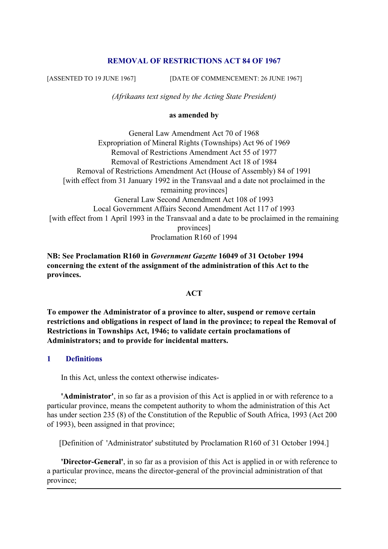# **REMOVAL OF RESTRICTIONS ACT 84 OF 1967**

[ASSENTED TO 19 JUNE 1967] [DATE OF COMMENCEMENT: 26 JUNE 1967]

*(Afrikaans text signed by the Acting State President)*

#### **as amended by**

General Law Amendment Act 70 of 1968 Expropriation of Mineral Rights (Townships) Act 96 of 1969 Removal of Restrictions Amendment Act 55 of 1977 Removal of Restrictions Amendment Act 18 of 1984 Removal of Restrictions Amendment Act (House of Assembly) 84 of 1991 [with effect from 31 January 1992 in the Transvaal and a date not proclaimed in the remaining provinces] General Law Second Amendment Act 108 of 1993 Local Government Affairs Second Amendment Act 117 of 1993 [with effect from 1 April 1993 in the Transvaal and a date to be proclaimed in the remaining provinces] Proclamation R160 of 1994

**NB: See Proclamation R160 in** *Government Gazette* **16049 of 31 October 1994 concerning the extent of the assignment of the administration of this Act to the provinces.**

#### **ACT**

**To empower the Administrator of a province to alter, suspend or remove certain restrictions and obligations in respect of land in the province; to repeal the Removal of Restrictions in Townships Act, 1946; to validate certain proclamations of Administrators; and to provide for incidental matters.**

#### **1 Definitions**

In this Act, unless the context otherwise indicates-

 **'Administrator'**, in so far as a provision of this Act is applied in or with reference to a particular province, means the competent authority to whom the administration of this Act has under section 235 (8) of the Constitution of the Republic of South Africa, 1993 (Act 200 of 1993), been assigned in that province;

[Definition of 'Administrator' substituted by Proclamation R160 of 31 October 1994.]

 **'Director-General'**, in so far as a provision of this Act is applied in or with reference to a particular province, means the director-general of the provincial administration of that province;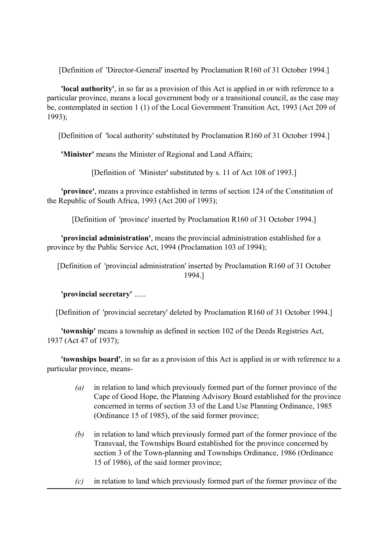[Definition of 'Director-General' inserted by Proclamation R160 of 31 October 1994.]

 **'local authority'**, in so far as a provision of this Act is applied in or with reference to a particular province, means a local government body or a transitional council, as the case may be, contemplated in section 1 (1) of the Local Government Transition Act, 1993 (Act 209 of 1993);

[Definition of 'local authority' substituted by Proclamation R160 of 31 October 1994.]

**'Minister'** means the Minister of Regional and Land Affairs;

[Definition of 'Minister' substituted by s. 11 of Act 108 of 1993.]

 **'province'**, means a province established in terms of section 124 of the Constitution of the Republic of South Africa, 1993 (Act 200 of 1993);

[Definition of 'province' inserted by Proclamation R160 of 31 October 1994.]

 **'provincial administration'**, means the provincial administration established for a province by the Public Service Act, 1994 (Proclamation 103 of 1994);

[Definition of 'provincial administration' inserted by Proclamation R160 of 31 October 1994.]

# **'provincial secretary'** ......

[Definition of 'provincial secretary' deleted by Proclamation R160 of 31 October 1994.]

 **'township'** means a township as defined in section 102 of the Deeds Registries Act, 1937 (Act 47 of 1937);

 **'townships board'**, in so far as a provision of this Act is applied in or with reference to a particular province, means-

- *(a)* in relation to land which previously formed part of the former province of the Cape of Good Hope, the Planning Advisory Board established for the province concerned in terms of section 33 of the Land Use Planning Ordinance, 1985 (Ordinance 15 of 1985), of the said former province;
- *(b)* in relation to land which previously formed part of the former province of the Transvaal, the Townships Board established for the province concerned by section 3 of the Town-planning and Townships Ordinance, 1986 (Ordinance 15 of 1986), of the said former province;
- *(c)* in relation to land which previously formed part of the former province of the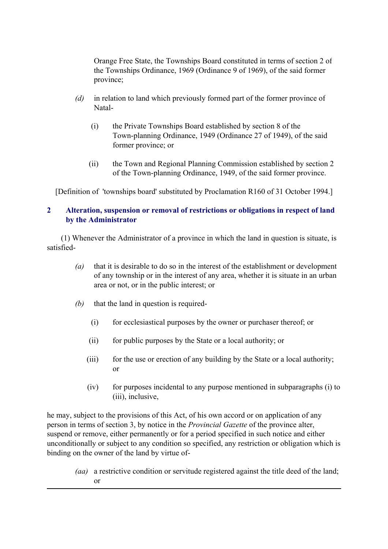Orange Free State, the Townships Board constituted in terms of section 2 of the Townships Ordinance, 1969 (Ordinance 9 of 1969), of the said former province;

- *(d)* in relation to land which previously formed part of the former province of Natal-
	- (i) the Private Townships Board established by section 8 of the Town-planning Ordinance, 1949 (Ordinance 27 of 1949), of the said former province; or
	- (ii) the Town and Regional Planning Commission established by section 2 of the Town-planning Ordinance, 1949, of the said former province.

[Definition of 'townships board' substituted by Proclamation R160 of 31 October 1994.]

# **2 Alteration, suspension or removal of restrictions or obligations in respect of land by the Administrator**

 (1) Whenever the Administrator of a province in which the land in question is situate, is satisfied-

- *(a)* that it is desirable to do so in the interest of the establishment or development of any township or in the interest of any area, whether it is situate in an urban area or not, or in the public interest; or
- *(b)* that the land in question is required-
	- (i) for ecclesiastical purposes by the owner or purchaser thereof; or
	- (ii) for public purposes by the State or a local authority; or
	- (iii) for the use or erection of any building by the State or a local authority; or
	- (iv) for purposes incidental to any purpose mentioned in subparagraphs (i) to (iii), inclusive,

he may, subject to the provisions of this Act, of his own accord or on application of any person in terms of section 3, by notice in the *Provincial Gazette* of the province alter, suspend or remove, either permanently or for a period specified in such notice and either unconditionally or subject to any condition so specified, any restriction or obligation which is binding on the owner of the land by virtue of-

 *(aa)* a restrictive condition or servitude registered against the title deed of the land; or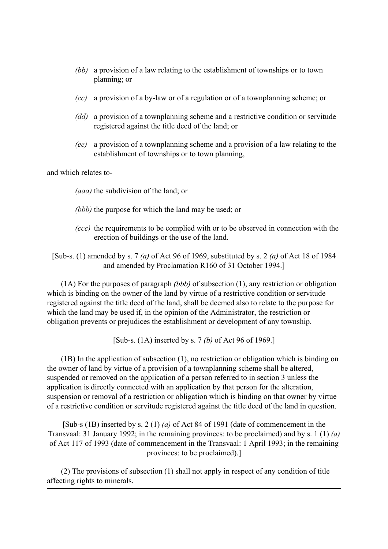- *(bb)* a provision of a law relating to the establishment of townships or to town planning; or
- *(cc)* a provision of a by-law or of a regulation or of a townplanning scheme; or
- *(dd)* a provision of a townplanning scheme and a restrictive condition or servitude registered against the title deed of the land; or
- *(ee)* a provision of a townplanning scheme and a provision of a law relating to the establishment of townships or to town planning,

and which relates to-

*(aaa)* the subdivision of the land; or

- *(bbb)* the purpose for which the land may be used; or
- *(ccc)* the requirements to be complied with or to be observed in connection with the erection of buildings or the use of the land.

[Sub-s. (1) amended by s. 7 *(a)* of Act 96 of 1969, substituted by s. 2 *(a)* of Act 18 of 1984 and amended by Proclamation R160 of 31 October 1994.]

 (1A) For the purposes of paragraph *(bbb)* of subsection (1), any restriction or obligation which is binding on the owner of the land by virtue of a restrictive condition or servitude registered against the title deed of the land, shall be deemed also to relate to the purpose for which the land may be used if, in the opinion of the Administrator, the restriction or obligation prevents or prejudices the establishment or development of any township.

[Sub-s. (1A) inserted by s. 7 *(b)* of Act 96 of 1969.]

 (1B) In the application of subsection (1), no restriction or obligation which is binding on the owner of land by virtue of a provision of a townplanning scheme shall be altered, suspended or removed on the application of a person referred to in section 3 unless the application is directly connected with an application by that person for the alteration, suspension or removal of a restriction or obligation which is binding on that owner by virtue of a restrictive condition or servitude registered against the title deed of the land in question.

[Sub-s (1B) inserted by s. 2 (1) *(a)* of Act 84 of 1991 (date of commencement in the Transvaal: 31 January 1992; in the remaining provinces: to be proclaimed) and by s. 1 (1) *(a)* of Act 117 of 1993 (date of commencement in the Transvaal: 1 April 1993; in the remaining provinces: to be proclaimed).]

 (2) The provisions of subsection (1) shall not apply in respect of any condition of title affecting rights to minerals.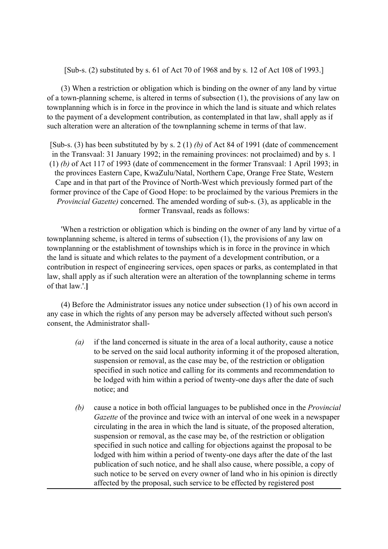[Sub-s. (2) substituted by s. 61 of Act 70 of 1968 and by s. 12 of Act 108 of 1993.]

 (3) When a restriction or obligation which is binding on the owner of any land by virtue of a town-planning scheme, is altered in terms of subsection (1), the provisions of any law on townplanning which is in force in the province in which the land is situate and which relates to the payment of a development contribution, as contemplated in that law, shall apply as if such alteration were an alteration of the townplanning scheme in terms of that law.

[Sub-s. (3) has been substituted by by s. 2 (1) *(b)* of Act 84 of 1991 (date of commencement in the Transvaal: 31 January 1992; in the remaining provinces: not proclaimed) and by s. 1 (1) *(b)* of Act 117 of 1993 (date of commencement in the former Transvaal: 1 April 1993; in the provinces Eastern Cape, KwaZulu/Natal, Northern Cape, Orange Free State, Western Cape and in that part of the Province of North-West which previously formed part of the former province of the Cape of Good Hope: to be proclaimed by the various Premiers in the *Provincial Gazette)* concerned. The amended wording of sub-s. (3), as applicable in the former Transvaal, reads as follows:

 'When a restriction or obligation which is binding on the owner of any land by virtue of a townplanning scheme, is altered in terms of subsection (1), the provisions of any law on townplanning or the establishment of townships which is in force in the province in which the land is situate and which relates to the payment of a development contribution, or a contribution in respect of engineering services, open spaces or parks, as contemplated in that law, shall apply as if such alteration were an alteration of the townplanning scheme in terms of that law.'.**]**

 (4) Before the Administrator issues any notice under subsection (1) of his own accord in any case in which the rights of any person may be adversely affected without such person's consent, the Administrator shall-

- *(a)* if the land concerned is situate in the area of a local authority, cause a notice to be served on the said local authority informing it of the proposed alteration, suspension or removal, as the case may be, of the restriction or obligation specified in such notice and calling for its comments and recommendation to be lodged with him within a period of twenty-one days after the date of such notice; and
- *(b)* cause a notice in both official languages to be published once in the *Provincial Gazette* of the province and twice with an interval of one week in a newspaper circulating in the area in which the land is situate, of the proposed alteration, suspension or removal, as the case may be, of the restriction or obligation specified in such notice and calling for objections against the proposal to be lodged with him within a period of twenty-one days after the date of the last publication of such notice, and he shall also cause, where possible, a copy of such notice to be served on every owner of land who in his opinion is directly affected by the proposal, such service to be effected by registered post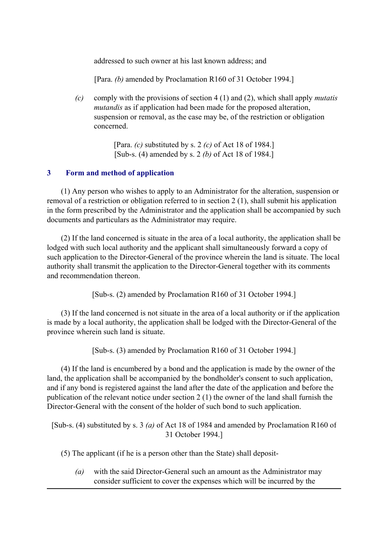addressed to such owner at his last known address; and

[Para. *(b)* amended by Proclamation R160 of 31 October 1994.]

 *(c)* comply with the provisions of section 4 (1) and (2), which shall apply *mutatis mutandis* as if application had been made for the proposed alteration, suspension or removal, as the case may be, of the restriction or obligation concerned.

> [Para. *(c)* substituted by s. 2 *(c)* of Act 18 of 1984.] [Sub-s. (4) amended by s. 2 *(b)* of Act 18 of 1984.]

#### **3 Form and method of application**

 (1) Any person who wishes to apply to an Administrator for the alteration, suspension or removal of a restriction or obligation referred to in section 2 (1), shall submit his application in the form prescribed by the Administrator and the application shall be accompanied by such documents and particulars as the Administrator may require.

 (2) If the land concerned is situate in the area of a local authority, the application shall be lodged with such local authority and the applicant shall simultaneously forward a copy of such application to the Director-General of the province wherein the land is situate. The local authority shall transmit the application to the Director-General together with its comments and recommendation thereon.

[Sub-s. (2) amended by Proclamation R160 of 31 October 1994.]

 (3) If the land concerned is not situate in the area of a local authority or if the application is made by a local authority, the application shall be lodged with the Director-General of the province wherein such land is situate.

[Sub-s. (3) amended by Proclamation R160 of 31 October 1994.]

 (4) If the land is encumbered by a bond and the application is made by the owner of the land, the application shall be accompanied by the bondholder's consent to such application, and if any bond is registered against the land after the date of the application and before the publication of the relevant notice under section 2 (1) the owner of the land shall furnish the Director-General with the consent of the holder of such bond to such application.

[Sub-s. (4) substituted by s. 3 *(a)* of Act 18 of 1984 and amended by Proclamation R160 of 31 October 1994.]

(5) The applicant (if he is a person other than the State) shall deposit-

 *(a)* with the said Director-General such an amount as the Administrator may consider sufficient to cover the expenses which will be incurred by the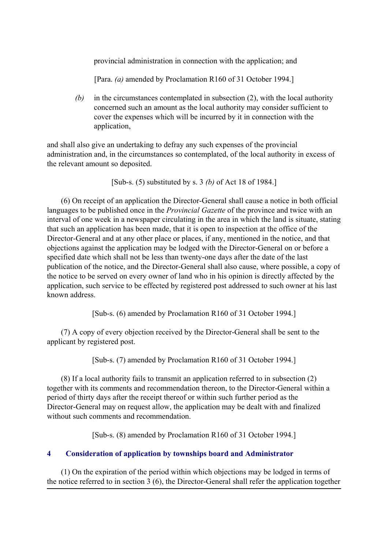provincial administration in connection with the application; and

[Para. *(a)* amended by Proclamation R160 of 31 October 1994.]

 *(b)* in the circumstances contemplated in subsection (2), with the local authority concerned such an amount as the local authority may consider sufficient to cover the expenses which will be incurred by it in connection with the application,

and shall also give an undertaking to defray any such expenses of the provincial administration and, in the circumstances so contemplated, of the local authority in excess of the relevant amount so deposited.

[Sub-s. (5) substituted by s. 3 *(b)* of Act 18 of 1984.]

 (6) On receipt of an application the Director-General shall cause a notice in both official languages to be published once in the *Provincial Gazette* of the province and twice with an interval of one week in a newspaper circulating in the area in which the land is situate, stating that such an application has been made, that it is open to inspection at the office of the Director-General and at any other place or places, if any, mentioned in the notice, and that objections against the application may be lodged with the Director-General on or before a specified date which shall not be less than twenty-one days after the date of the last publication of the notice, and the Director-General shall also cause, where possible, a copy of the notice to be served on every owner of land who in his opinion is directly affected by the application, such service to be effected by registered post addressed to such owner at his last known address.

[Sub-s. (6) amended by Proclamation R160 of 31 October 1994.]

 (7) A copy of every objection received by the Director-General shall be sent to the applicant by registered post.

[Sub-s. (7) amended by Proclamation R160 of 31 October 1994.]

 (8) If a local authority fails to transmit an application referred to in subsection (2) together with its comments and recommendation thereon, to the Director-General within a period of thirty days after the receipt thereof or within such further period as the Director-General may on request allow, the application may be dealt with and finalized without such comments and recommendation.

[Sub-s. (8) amended by Proclamation R160 of 31 October 1994.]

# **4 Consideration of application by townships board and Administrator**

 (1) On the expiration of the period within which objections may be lodged in terms of the notice referred to in section 3 (6), the Director-General shall refer the application together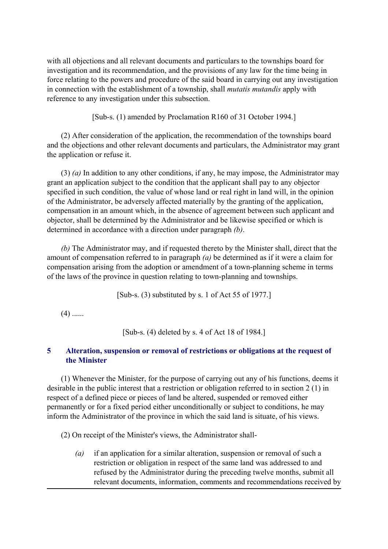with all objections and all relevant documents and particulars to the townships board for investigation and its recommendation, and the provisions of any law for the time being in force relating to the powers and procedure of the said board in carrying out any investigation in connection with the establishment of a township, shall *mutatis mutandis* apply with reference to any investigation under this subsection.

[Sub-s. (1) amended by Proclamation R160 of 31 October 1994.]

 (2) After consideration of the application, the recommendation of the townships board and the objections and other relevant documents and particulars, the Administrator may grant the application or refuse it.

 (3) *(a)* In addition to any other conditions, if any, he may impose, the Administrator may grant an application subject to the condition that the applicant shall pay to any objector specified in such condition, the value of whose land or real right in land will, in the opinion of the Administrator, be adversely affected materially by the granting of the application, compensation in an amount which, in the absence of agreement between such applicant and objector, shall be determined by the Administrator and be likewise specified or which is determined in accordance with a direction under paragraph *(b)*.

 *(b)* The Administrator may, and if requested thereto by the Minister shall, direct that the amount of compensation referred to in paragraph *(a)* be determined as if it were a claim for compensation arising from the adoption or amendment of a town-planning scheme in terms of the laws of the province in question relating to town-planning and townships.

[Sub-s. (3) substituted by s. 1 of Act 55 of 1977.]

 $(4)$  ......

[Sub-s. (4) deleted by s. 4 of Act 18 of 1984.]

## **5 Alteration, suspension or removal of restrictions or obligations at the request of the Minister**

 (1) Whenever the Minister, for the purpose of carrying out any of his functions, deems it desirable in the public interest that a restriction or obligation referred to in section 2 (1) in respect of a defined piece or pieces of land be altered, suspended or removed either permanently or for a fixed period either unconditionally or subject to conditions, he may inform the Administrator of the province in which the said land is situate, of his views.

(2) On receipt of the Minister's views, the Administrator shall-

 *(a)* if an application for a similar alteration, suspension or removal of such a restriction or obligation in respect of the same land was addressed to and refused by the Administrator during the preceding twelve months, submit all relevant documents, information, comments and recommendations received by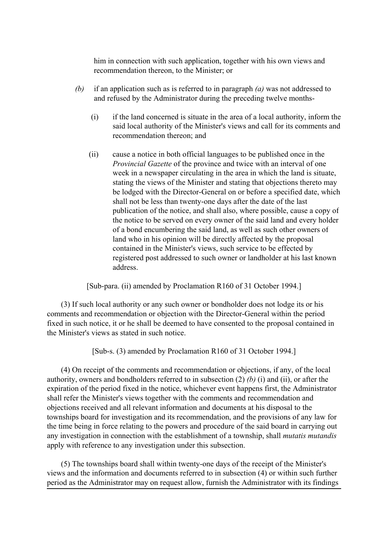him in connection with such application, together with his own views and recommendation thereon, to the Minister; or

- *(b)* if an application such as is referred to in paragraph *(a)* was not addressed to and refused by the Administrator during the preceding twelve months-
	- (i) if the land concerned is situate in the area of a local authority, inform the said local authority of the Minister's views and call for its comments and recommendation thereon; and
	- (ii) cause a notice in both official languages to be published once in the *Provincial Gazette* of the province and twice with an interval of one week in a newspaper circulating in the area in which the land is situate, stating the views of the Minister and stating that objections thereto may be lodged with the Director-General on or before a specified date, which shall not be less than twenty-one days after the date of the last publication of the notice, and shall also, where possible, cause a copy of the notice to be served on every owner of the said land and every holder of a bond encumbering the said land, as well as such other owners of land who in his opinion will be directly affected by the proposal contained in the Minister's views, such service to be effected by registered post addressed to such owner or landholder at his last known address.

[Sub-para. (ii) amended by Proclamation R160 of 31 October 1994.]

 (3) If such local authority or any such owner or bondholder does not lodge its or his comments and recommendation or objection with the Director-General within the period fixed in such notice, it or he shall be deemed to have consented to the proposal contained in the Minister's views as stated in such notice.

[Sub-s. (3) amended by Proclamation R160 of 31 October 1994.]

 (4) On receipt of the comments and recommendation or objections, if any, of the local authority, owners and bondholders referred to in subsection (2) *(b)* (i) and (ii), or after the expiration of the period fixed in the notice, whichever event happens first, the Administrator shall refer the Minister's views together with the comments and recommendation and objections received and all relevant information and documents at his disposal to the townships board for investigation and its recommendation, and the provisions of any law for the time being in force relating to the powers and procedure of the said board in carrying out any investigation in connection with the establishment of a township, shall *mutatis mutandis* apply with reference to any investigation under this subsection.

 (5) The townships board shall within twenty-one days of the receipt of the Minister's views and the information and documents referred to in subsection (4) or within such further period as the Administrator may on request allow, furnish the Administrator with its findings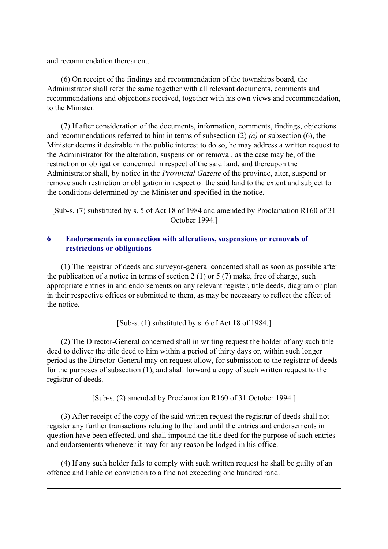and recommendation thereanent.

 (6) On receipt of the findings and recommendation of the townships board, the Administrator shall refer the same together with all relevant documents, comments and recommendations and objections received, together with his own views and recommendation, to the Minister.

 (7) If after consideration of the documents, information, comments, findings, objections and recommendations referred to him in terms of subsection (2) *(a)* or subsection (6), the Minister deems it desirable in the public interest to do so, he may address a written request to the Administrator for the alteration, suspension or removal, as the case may be, of the restriction or obligation concerned in respect of the said land, and thereupon the Administrator shall, by notice in the *Provincial Gazette* of the province, alter, suspend or remove such restriction or obligation in respect of the said land to the extent and subject to the conditions determined by the Minister and specified in the notice.

[Sub-s. (7) substituted by s. 5 of Act 18 of 1984 and amended by Proclamation R160 of 31 October 1994.]

## **6 Endorsements in connection with alterations, suspensions or removals of restrictions or obligations**

 (1) The registrar of deeds and surveyor-general concerned shall as soon as possible after the publication of a notice in terms of section 2 (1) or 5 (7) make, free of charge, such appropriate entries in and endorsements on any relevant register, title deeds, diagram or plan in their respective offices or submitted to them, as may be necessary to reflect the effect of the notice.

[Sub-s. (1) substituted by s. 6 of Act 18 of 1984.]

 (2) The Director-General concerned shall in writing request the holder of any such title deed to deliver the title deed to him within a period of thirty days or, within such longer period as the Director-General may on request allow, for submission to the registrar of deeds for the purposes of subsection (1), and shall forward a copy of such written request to the registrar of deeds.

[Sub-s. (2) amended by Proclamation R160 of 31 October 1994.]

 (3) After receipt of the copy of the said written request the registrar of deeds shall not register any further transactions relating to the land until the entries and endorsements in question have been effected, and shall impound the title deed for the purpose of such entries and endorsements whenever it may for any reason be lodged in his office.

 (4) If any such holder fails to comply with such written request he shall be guilty of an offence and liable on conviction to a fine not exceeding one hundred rand.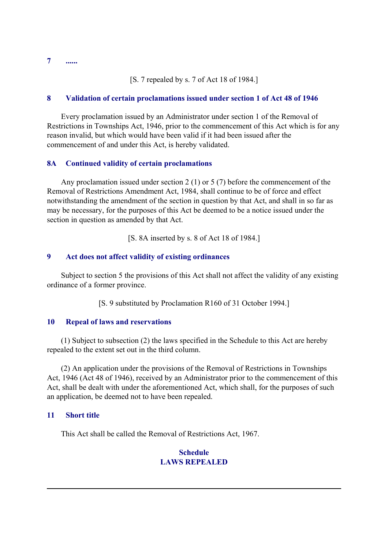**7 ......**

[S. 7 repealed by s. 7 of Act 18 of 1984.]

### **8 Validation of certain proclamations issued under section 1 of Act 48 of 1946**

 Every proclamation issued by an Administrator under section 1 of the Removal of Restrictions in Townships Act, 1946, prior to the commencement of this Act which is for any reason invalid, but which would have been valid if it had been issued after the commencement of and under this Act, is hereby validated.

### **8A Continued validity of certain proclamations**

 Any proclamation issued under section 2 (1) or 5 (7) before the commencement of the Removal of Restrictions Amendment Act, 1984, shall continue to be of force and effect notwithstanding the amendment of the section in question by that Act, and shall in so far as may be necessary, for the purposes of this Act be deemed to be a notice issued under the section in question as amended by that Act.

[S. 8A inserted by s. 8 of Act 18 of 1984.]

### **9 Act does not affect validity of existing ordinances**

 Subject to section 5 the provisions of this Act shall not affect the validity of any existing ordinance of a former province.

[S. 9 substituted by Proclamation R160 of 31 October 1994.]

#### **10 Repeal of laws and reservations**

 (1) Subject to subsection (2) the laws specified in the Schedule to this Act are hereby repealed to the extent set out in the third column.

 (2) An application under the provisions of the Removal of Restrictions in Townships Act, 1946 (Act 48 of 1946), received by an Administrator prior to the commencement of this Act, shall be dealt with under the aforementioned Act, which shall, for the purposes of such an application, be deemed not to have been repealed.

#### **11 Short title**

This Act shall be called the Removal of Restrictions Act, 1967.

# **Schedule LAWS REPEALED**